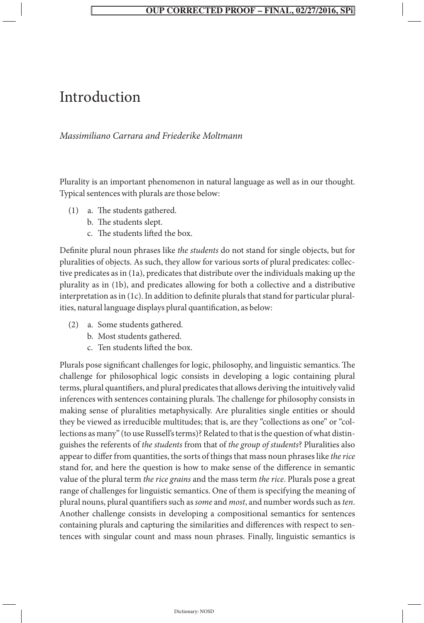# Introduction

## *Massimiliano Carrara and Friederike Moltmann*

Plurality is an important phenomenon in natural language as well as in our thought. Typical sentences with plurals are those below:

- (1) a. The students gathered.
	- b. The students slept.
	- c. The students lifted the box.

Definite plural noun phrases like *the students* do not stand for single objects, but for pluralities of objects. As such, they allow for various sorts of plural predicates: collective predicates as in (1a), predicates that distribute over the individuals making up the plurality as in (1b), and predicates allowing for both a collective and a distributive interpretation as in (1c). In addition to definite plurals that stand for particular pluralities, natural language displays plural quantification, as below:

- (2) a. Some students gathered.
	- b. Most students gathered.
	- c. Ten students lifted the box.

Plurals pose significant challenges for logic, philosophy, and linguistic semantics. The challenge for philosophical logic consists in developing a logic containing plural terms, plural quantifiers, and plural predicates that allows deriving the intuitively valid inferences with sentences containing plurals. The challenge for philosophy consists in making sense of pluralities metaphysically. Are pluralities single entities or should they be viewed as irreducible multitudes; that is, are they "collections as one" or "collections as many" (to use Russell's terms)? Related to that is the question of what distinguishes the referents of *the students* from that of *the group of students*? Pluralities also appear to differ from quantities, the sorts of things that mass noun phrases like *the rice* stand for, and here the question is how to make sense of the difference in semantic value of the plural term *the rice grains* and the mass term *the rice*. Plurals pose a great range of challenges for linguistic semantics. One of them is specifying the meaning of plural nouns, plural quantifiers such as *some* and *most*, and number words such as *ten*. Another challenge consists in developing a compositional semantics for sentences containing plurals and capturing the similarities and differences with respect to sentences with singular count and mass noun phrases. Finally, linguistic semantics is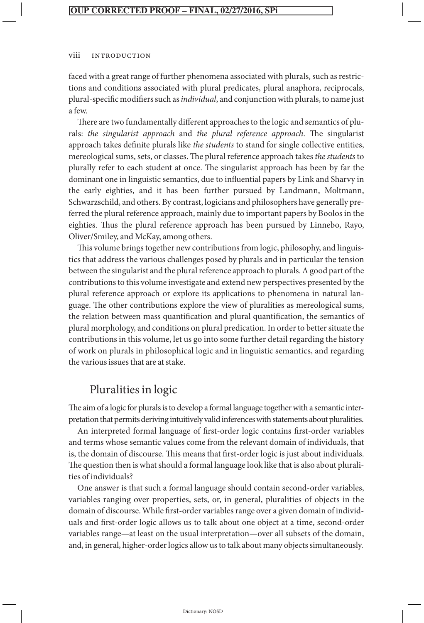#### viii Introduction

faced with a great range of further phenomena associated with plurals, such as restrictions and conditions associated with plural predicates, plural anaphora, reciprocals, plural-specific modifiers such as *individual*, and conjunction with plurals, to name just a few.

There are two fundamentally different approaches to the logic and semantics of plurals: *the singularist approach* and *the plural reference approach*. The singularist approach takes definite plurals like *the students* to stand for single collective entities, mereological sums, sets, or classes. The plural reference approach takes *the students* to plurally refer to each student at once. The singularist approach has been by far the dominant one in linguistic semantics, due to influential papers by Link and Sharvy in the early eighties, and it has been further pursued by Landmann, Moltmann, Schwarzschild, and others. By contrast, logicians and philosophers have generally preferred the plural reference approach, mainly due to important papers by Boolos in the eighties. Thus the plural reference approach has been pursued by Linnebo, Rayo, Oliver/Smiley, and McKay, among others.

This volume brings together new contributions from logic, philosophy, and linguistics that address the various challenges posed by plurals and in particular the tension between the singularist and the plural reference approach to plurals. A good part of the contributions to this volume investigate and extend new perspectives presented by the plural reference approach or explore its applications to phenomena in natural language. The other contributions explore the view of pluralities as mereological sums, the relation between mass quantification and plural quantification, the semantics of plural morphology, and conditions on plural predication. In order to better situate the contributions in this volume, let us go into some further detail regarding the history of work on plurals in philosophical logic and in linguistic semantics, and regarding the various issues that are at stake.

# Pluralities in logic

The aim of a logic for plurals is to develop a formal language together with a semantic interpretation that permits deriving intuitively valid inferences with statements about pluralities.

An interpreted formal language of first-order logic contains first-order variables and terms whose semantic values come from the relevant domain of individuals, that is, the domain of discourse. This means that first-order logic is just about individuals. The question then is what should a formal language look like that is also about pluralities of individuals?

One answer is that such a formal language should contain second-order variables, variables ranging over properties, sets, or, in general, pluralities of objects in the domain of discourse. While first-order variables range over a given domain of individuals and first-order logic allows us to talk about one object at a time, second-order variables range—at least on the usual interpretation—over all subsets of the domain, and, in general, higher-order logics allow us to talk about many objects simultaneously.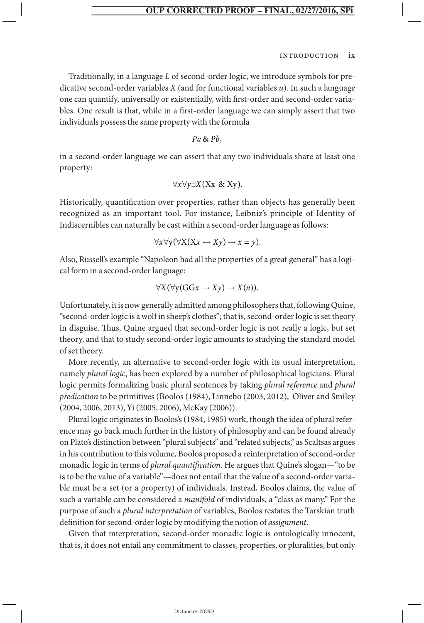#### Introduction ix

Traditionally, in a language *L* of second-order logic, we introduce symbols for predicative second-order variables *X* (and for functional variables *u*)*.* In such a language one can quantify, universally or existentially, with first-order and second-order variables. One result is that, while in a first-order language we can simply assert that two individuals possess the same property with the formula

#### *Pa & Ph*.

in a second-order language we can assert that any two individuals share at least one property:

$$
\forall x \forall y \exists X (\text{X} x \& \text{X} y).
$$

Historically, quantification over properties, rather than objects has generally been recognized as an important tool. For instance, Leibniz's principle of Identity of Indiscernibles can naturally be cast within a second-order language as follows:

$$
\forall x \forall y (\forall X (Xx \leftrightarrow Xy) \rightarrow x = y).
$$

Also, Russell's example "Napoleon had all the properties of a great general" has a logical form in a second-order language:

$$
\forall X (\forall y (GGx \rightarrow Xy) \rightarrow X(n)).
$$

Unfortunately, it is now generally admitted among philosophers that, following Quine, "second-order logic is a wolf in sheep's clothes"; that is, second-order logic is set theory in disguise. Thus, Quine argued that second-order logic is not really a logic, but set theory, and that to study second-order logic amounts to studying the standard model of set theory.

More recently, an alternative to second-order logic with its usual interpretation, namely *plural logic*, has been explored by a number of philosophical logicians. Plural logic permits formalizing basic plural sentences by taking *plural reference* and *plural predication* to be primitives (Boolos (1984), Linnebo (2003, 2012), Oliver and Smiley (2004, 2006, 2013), Yi (2005, 2006), McKay (2006)).

Plural logic originates in Boolos's (1984, 1985) work, though the idea of plural reference may go back much further in the history of philosophy and can be found already on Plato's distinction between "plural subjects" and "related subjects," as Scaltsas argues in his contribution to this volume, Boolos proposed a reinterpretation of second-order monadic logic in terms of *plural quantification*. He argues that Quine's slogan—"to be is to be the value of a variable"—does not entail that the value of a second-order variable must be a set (or a property) of individuals. Instead, Boolos claims, the value of such a variable can be considered a *manifold* of individuals, a "class as many." For the purpose of such a *plural interpretation* of variables, Boolos restates the Tarskian truth definition for second-order logic by modifying the notion of *assignment*.

Given that interpretation, second-order monadic logic is ontologically innocent, that is, it does not entail any commitment to classes, properties, or pluralities, but only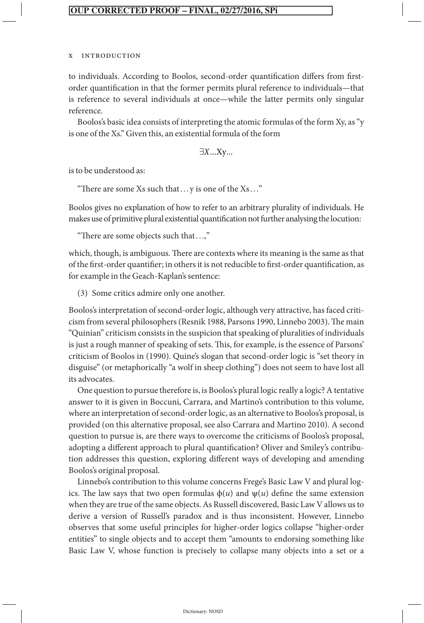#### x Introduction

to individuals. According to Boolos, second-order quantification differs from firstorder quantification in that the former permits plural reference to individuals—that is reference to several individuals at once—while the latter permits only singular reference.

Boolos's basic idea consists of interpreting the atomic formulas of the form Xy, as "y is one of the Xs." Given this, an existential formula of the form

\$*X*...Xy...

is to be understood as:

"There are some Xs such that. . . y is one of the Xs. . ."

Boolos gives no explanation of how to refer to an arbitrary plurality of individuals. He makes use of primitive plural existential quantification not further analysing the locution:

"There are some objects such that...,"

which, though, is ambiguous. There are contexts where its meaning is the same as that of the first-order quantifier; in others it is not reducible to first-order quantification, as for example in the Geach-Kaplan's sentence:

(3) Some critics admire only one another.

Boolos's interpretation of second-order logic, although very attractive, has faced criticism from several philosophers (Resnik 1988, Parsons 1990, Linnebo 2003). The main "Quinian" criticism consists in the suspicion that speaking of pluralities of individuals is just a rough manner of speaking of sets. This, for example, is the essence of Parsons' criticism of Boolos in (1990). Quine's slogan that second-order logic is "set theory in disguise" (or metaphorically "a wolf in sheep clothing") does not seem to have lost all its advocates.

One question to pursue therefore is, is Boolos's plural logic really a logic? A tentative answer to it is given in Boccuni, Carrara, and Martino's contribution to this volume, where an interpretation of second-order logic, as an alternative to Boolos's proposal, is provided (on this alternative proposal, see also Carrara and Martino 2010). A second question to pursue is, are there ways to overcome the criticisms of Boolos's proposal, adopting a different approach to plural quantification? Oliver and Smiley's contribution addresses this question, exploring different ways of developing and amending Boolos's original proposal.

Linnebo's contribution to this volume concerns Frege's Basic Law V and plural logics. The law says that two open formulas  $\phi(u)$  and  $\psi(u)$  define the same extension when they are true of the same objects. As Russell discovered, Basic Law V allows us to derive a version of Russell's paradox and is thus inconsistent. However, Linnebo observes that some useful principles for higher-order logics collapse "higher-order entities" to single objects and to accept them "amounts to endorsing something like Basic Law V, whose function is precisely to collapse many objects into a set or a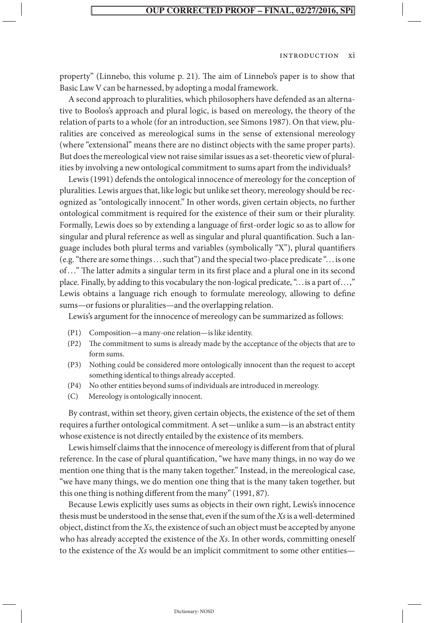#### Introduction xi

property" (Linnebo, this volume p. 21). The aim of Linnebo's paper is to show that Basic Law V can be harnessed, by adopting a modal framework.

A second approach to pluralities, which philosophers have defended as an alternative to Boolos's approach and plural logic, is based on mereology, the theory of the relation of parts to a whole (for an introduction, see Simons 1987). On that view, pluralities are conceived as mereological sums in the sense of extensional mereology (where "extensional" means there are no distinct objects with the same proper parts). But does the mereological view not raise similar issues as a set-theoretic view of pluralities by involving a new ontological commitment to sums apart from the individuals?

Lewis (1991) defends the ontological innocence of mereology for the conception of pluralities. Lewis argues that, like logic but unlike set theory, mereology should be recognized as "ontologically innocent." In other words, given certain objects, no further ontological commitment is required for the existence of their sum or their plurality. Formally, Lewis does so by extending a language of first-order logic so as to allow for singular and plural reference as well as singular and plural quantification. Such a language includes both plural terms and variables (symbolically "X"), plural quantifiers (e.g. "there are some things... such that") and the special two-place predicate "... is one of. . ." The latter admits a singular term in its first place and a plural one in its second place. Finally, by adding to this vocabulary the non-logical predicate, "...is a part of...," Lewis obtains a language rich enough to formulate mereology, allowing to define sums—or fusions or pluralities—and the overlapping relation.

Lewis's argument for the innocence of mereology can be summarized as follows:

- (P1) Composition—a many-one relation—is like identity.
- (P2) The commitment to sums is already made by the acceptance of the objects that are to form sums.
- (P3) Nothing could be considered more ontologically innocent than the request to accept something identical to things already accepted.
- (P4) No other entities beyond sums of individuals are introduced in mereology.
- (C) Mereology is ontologically innocent.

By contrast, within set theory, given certain objects, the existence of the set of them requires a further ontological commitment. A set—unlike a sum—is an abstract entity whose existence is not directly entailed by the existence of its members.

Lewis himself claims that the innocence of mereology is different from that of plural reference. In the case of plural quantification, "we have many things, in no way do we mention one thing that is the many taken together." Instead, in the mereological case, "we have many things, we do mention one thing that is the many taken together, but this one thing is nothing different from the many" (1991, 87).

Because Lewis explicitly uses sums as objects in their own right, Lewis's innocence thesis must be understood in the sense that, even if the sum of the *Xs* is a well-determined object, distinct from the *Xs*, the existence of such an object must be accepted by anyone who has already accepted the existence of the *Xs*. In other words, committing oneself to the existence of the *Xs* would be an implicit commitment to some other entities—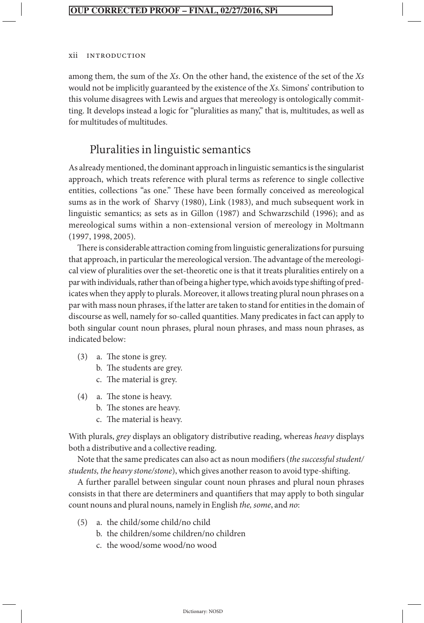#### xii Introduction

among them, the sum of the *Xs*. On the other hand, the existence of the set of the *Xs* would not be implicitly guaranteed by the existence of the *Xs.* Simons' contribution to this volume disagrees with Lewis and argues that mereology is ontologically committing. It develops instead a logic for "pluralities as many," that is, multitudes, as well as for multitudes of multitudes.

# Pluralities in linguistic semantics

As already mentioned, the dominant approach in linguistic semantics is the singularist approach, which treats reference with plural terms as reference to single collective entities, collections "as one." These have been formally conceived as mereological sums as in the work of Sharvy (1980), Link (1983), and much subsequent work in linguistic semantics; as sets as in Gillon (1987) and Schwarzschild (1996); and as mereological sums within a non-extensional version of mereology in Moltmann (1997, 1998, 2005).

There is considerable attraction coming from linguistic generalizations for pursuing that approach, in particular the mereological version. The advantage of the mereological view of pluralities over the set-theoretic one is that it treats pluralities entirely on a par with individuals, rather than of being a higher type, which avoids type shifting of predicates when they apply to plurals. Moreover, it allows treating plural noun phrases on a par with mass noun phrases, if the latter are taken to stand for entities in the domain of discourse as well, namely for so-called quantities. Many predicates in fact can apply to both singular count noun phrases, plural noun phrases, and mass noun phrases, as indicated below:

- (3) a. The stone is grey.
	- b. The students are grey.
	- c. The material is grey.
- (4) a. The stone is heavy.
	- b. The stones are heavy.
	- c. The material is heavy.

With plurals, *grey* displays an obligatory distributive reading, whereas *heavy* displays both a distributive and a collective reading.

Note that the same predicates can also act as noun modifiers (*the successful student/ students, the heavy stone/stone*), which gives another reason to avoid type-shifting.

A further parallel between singular count noun phrases and plural noun phrases consists in that there are determiners and quantifiers that may apply to both singular count nouns and plural nouns, namely in English *the, some*, and *no*:

- (5) a. the child/some child/no child
	- b. the children/some children/no children
	- c. the wood/some wood/no wood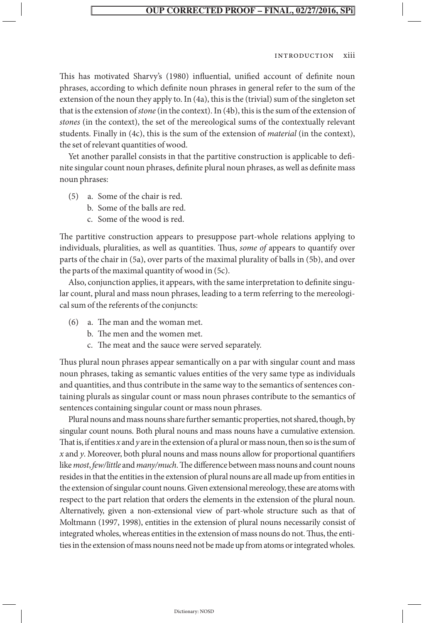### **OUP CORRECTED PROOF – FINAL, 02/27/2016, SPi**

#### Introduction xiii

This has motivated Sharvy's (1980) influential, unified account of definite noun phrases, according to which definite noun phrases in general refer to the sum of the extension of the noun they apply to. In (4a), this is the (trivial) sum of the singleton set that is the extension of *stone* (in the context). In (4b), this is the sum of the extension of *stones* (in the context), the set of the mereological sums of the contextually relevant students. Finally in (4c), this is the sum of the extension of *material* (in the context), the set of relevant quantities of wood.

Yet another parallel consists in that the partitive construction is applicable to definite singular count noun phrases, definite plural noun phrases, as well as definite mass noun phrases:

- (5) a. Some of the chair is red.
	- b. Some of the balls are red.
	- c. Some of the wood is red.

The partitive construction appears to presuppose part-whole relations applying to individuals, pluralities, as well as quantities. Thus, *some of* appears to quantify over parts of the chair in (5a), over parts of the maximal plurality of balls in (5b), and over the parts of the maximal quantity of wood in (5c).

Also, conjunction applies, it appears, with the same interpretation to definite singular count, plural and mass noun phrases, leading to a term referring to the mereological sum of the referents of the conjuncts:

- (6) a. The man and the woman met.
	- b. The men and the women met.
	- c. The meat and the sauce were served separately.

Thus plural noun phrases appear semantically on a par with singular count and mass noun phrases, taking as semantic values entities of the very same type as individuals and quantities, and thus contribute in the same way to the semantics of sentences containing plurals as singular count or mass noun phrases contribute to the semantics of sentences containing singular count or mass noun phrases.

Plural nouns and mass nouns share further semantic properties, not shared, though, by singular count nouns. Both plural nouns and mass nouns have a cumulative extension. That is, if entities *x* and *y* are in the extension of a plural or mass noun, then so is the sum of *x* and *y*. Moreover, both plural nouns and mass nouns allow for proportional quantifiers like *most*, *few/little* and *many/much*. The difference between mass nouns and count nouns resides in that the entities in the extension of plural nouns are all made up from entities in the extension of singular count nouns. Given extensional mereology, these are atoms with respect to the part relation that orders the elements in the extension of the plural noun. Alternatively, given a non-extensional view of part-whole structure such as that of Moltmann (1997, 1998), entities in the extension of plural nouns necessarily consist of integrated wholes, whereas entities in the extension of mass nouns do not. Thus, the entities in the extension of mass nouns need not be made up from atoms or integrated wholes.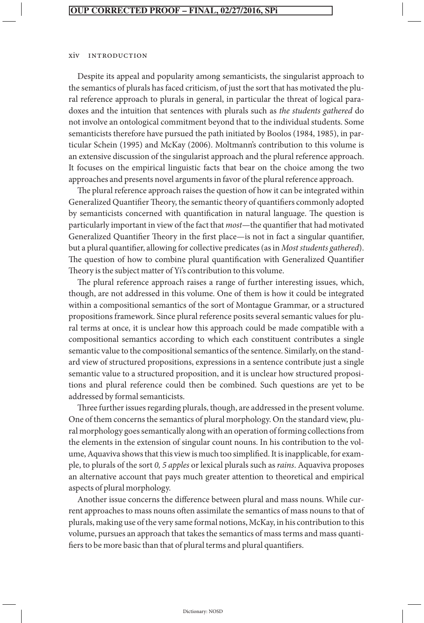#### xiv Introduction

Despite its appeal and popularity among semanticists, the singularist approach to the semantics of plurals has faced criticism, of just the sort that has motivated the plural reference approach to plurals in general, in particular the threat of logical paradoxes and the intuition that sentences with plurals such as *the students gathered* do not involve an ontological commitment beyond that to the individual students. Some semanticists therefore have pursued the path initiated by Boolos (1984, 1985), in particular Schein (1995) and McKay (2006). Moltmann's contribution to this volume is an extensive discussion of the singularist approach and the plural reference approach. It focuses on the empirical linguistic facts that bear on the choice among the two approaches and presents novel arguments in favor of the plural reference approach.

The plural reference approach raises the question of how it can be integrated within Generalized Quantifier Theory, the semantic theory of quantifiers commonly adopted by semanticists concerned with quantification in natural language. The question is particularly important in view of the fact that *most*—the quantifier that had motivated Generalized Quantifier Theory in the first place—is not in fact a singular quantifier, but a plural quantifier, allowing for collective predicates (as in *Most students gathered*). The question of how to combine plural quantification with Generalized Quantifier Theory is the subject matter of Yi's contribution to this volume.

The plural reference approach raises a range of further interesting issues, which, though, are not addressed in this volume. One of them is how it could be integrated within a compositional semantics of the sort of Montague Grammar, or a structured propositions framework. Since plural reference posits several semantic values for plural terms at once, it is unclear how this approach could be made compatible with a compositional semantics according to which each constituent contributes a single semantic value to the compositional semantics of the sentence. Similarly, on the standard view of structured propositions, expressions in a sentence contribute just a single semantic value to a structured proposition, and it is unclear how structured propositions and plural reference could then be combined. Such questions are yet to be addressed by formal semanticists.

Three further issues regarding plurals, though, are addressed in the present volume. One of them concerns the semantics of plural morphology. On the standard view, plural morphology goes semantically along with an operation of forming collections from the elements in the extension of singular count nouns. In his contribution to the volume, Aquaviva shows that this view is much too simplified. It is inapplicable, for example, to plurals of the sort *0, 5 apples* or lexical plurals such as *rains*. Aquaviva proposes an alternative account that pays much greater attention to theoretical and empirical aspects of plural morphology.

Another issue concerns the difference between plural and mass nouns. While current approaches to mass nouns often assimilate the semantics of mass nouns to that of plurals, making use of the very same formal notions, McKay, in his contribution to this volume, pursues an approach that takes the semantics of mass terms and mass quantifiers to be more basic than that of plural terms and plural quantifiers.